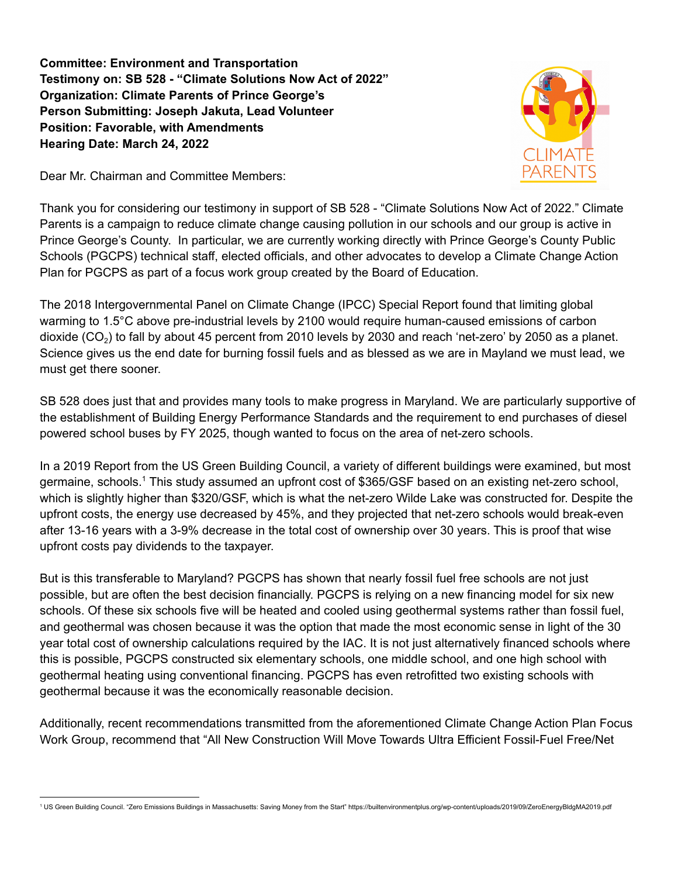**Committee: Environment and Transportation Testimony on: SB 528 - "Climate Solutions Now Act of 2022" Organization: Climate Parents of Prince George's Person Submitting: Joseph Jakuta, Lead Volunteer Position: Favorable, with Amendments Hearing Date: March 24, 2022**

Dear Mr. Chairman and Committee Members:

Thank you for considering our testimony in support of SB 528 - "Climate Solutions Now Act of 2022." Climate Parents is a campaign to reduce climate change causing pollution in our schools and our group is active in Prince George's County. In particular, we are currently working directly with Prince George's County Public Schools (PGCPS) technical staff, elected officials, and other advocates to develop a Climate Change Action Plan for PGCPS as part of a focus work group created by the Board of Education.

The 2018 Intergovernmental Panel on Climate Change (IPCC) Special Report found that limiting global warming to 1.5°C above pre-industrial levels by 2100 would require human-caused emissions of carbon dioxide (CO<sub>2</sub>) to fall by about 45 percent from 2010 levels by 2030 and reach 'net-zero' by 2050 as a planet. Science gives us the end date for burning fossil fuels and as blessed as we are in Mayland we must lead, we must get there sooner.

SB 528 does just that and provides many tools to make progress in Maryland. We are particularly supportive of the establishment of Building Energy Performance Standards and the requirement to end purchases of diesel powered school buses by FY 2025, though wanted to focus on the area of net-zero schools.

In a 2019 Report from the US Green Building Council, a variety of different buildings were examined, but most germaine, schools.<sup>1</sup> This study assumed an upfront cost of \$365/GSF based on an existing net-zero school, which is slightly higher than \$320/GSF, which is what the net-zero Wilde Lake was constructed for. Despite the upfront costs, the energy use decreased by 45%, and they projected that net-zero schools would break-even after 13-16 years with a 3-9% decrease in the total cost of ownership over 30 years. This is proof that wise upfront costs pay dividends to the taxpayer.

But is this transferable to Maryland? PGCPS has shown that nearly fossil fuel free schools are not just possible, but are often the best decision financially. PGCPS is relying on a new financing model for six new schools. Of these six schools five will be heated and cooled using geothermal systems rather than fossil fuel, and geothermal was chosen because it was the option that made the most economic sense in light of the 30 year total cost of ownership calculations required by the IAC. It is not just alternatively financed schools where this is possible, PGCPS constructed six elementary schools, one middle school, and one high school with geothermal heating using conventional financing. PGCPS has even retrofitted two existing schools with geothermal because it was the economically reasonable decision.

Additionally, recent recommendations transmitted from the aforementioned Climate Change Action Plan Focus Work Group, recommend that "All New Construction Will Move Towards Ultra Efficient Fossil-Fuel Free/Net

<sup>1</sup> US Green Building Council. "Zero Emissions Buildings in Massachusetts: Saving Money from the Start" https://builtenvironmentplus.org/wp-content/uploads/2019/09/ZeroEnergyBldgMA2019.pdf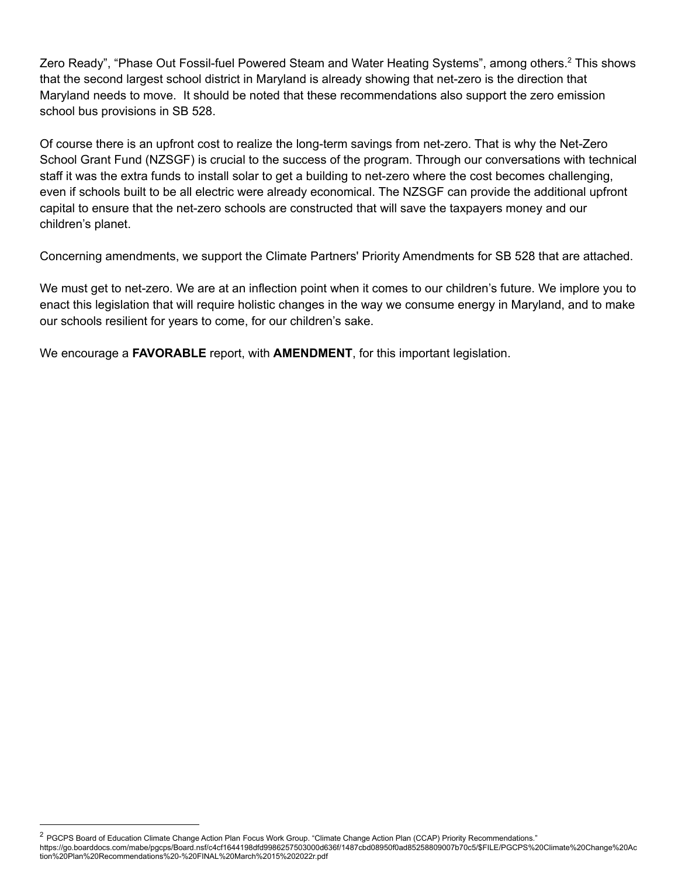Zero Ready", "Phase Out Fossil-fuel Powered Steam and Water Heating Systems", among others.<sup>2</sup> This shows that the second largest school district in Maryland is already showing that net-zero is the direction that Maryland needs to move. It should be noted that these recommendations also support the zero emission school bus provisions in SB 528.

Of course there is an upfront cost to realize the long-term savings from net-zero. That is why the Net-Zero School Grant Fund (NZSGF) is crucial to the success of the program. Through our conversations with technical staff it was the extra funds to install solar to get a building to net-zero where the cost becomes challenging, even if schools built to be all electric were already economical. The NZSGF can provide the additional upfront capital to ensure that the net-zero schools are constructed that will save the taxpayers money and our children's planet.

Concerning amendments, we support the Climate Partners' Priority Amendments for SB 528 that are attached.

We must get to net-zero. We are at an inflection point when it comes to our children's future. We implore you to enact this legislation that will require holistic changes in the way we consume energy in Maryland, and to make our schools resilient for years to come, for our children's sake.

We encourage a **FAVORABLE** report, with **AMENDMENT**, for this important legislation.

<sup>&</sup>lt;sup>2</sup> PGCPS Board of Education Climate Change Action Plan Focus Work Group. "Climate Change Action Plan (CCAP) Priority Recommendations."

https://go.boarddocs.com/mabe/pgcps/Board.nsf/c4cf1644198dfd9986257503000d636f/1487cbd08950f0ad85258809007b70c5/\$FILE/PGCPS%20Climate%20Change%20Ac tion%20Plan%20Recommendations%20-%20FINAL%20March%2015%202022r.pdf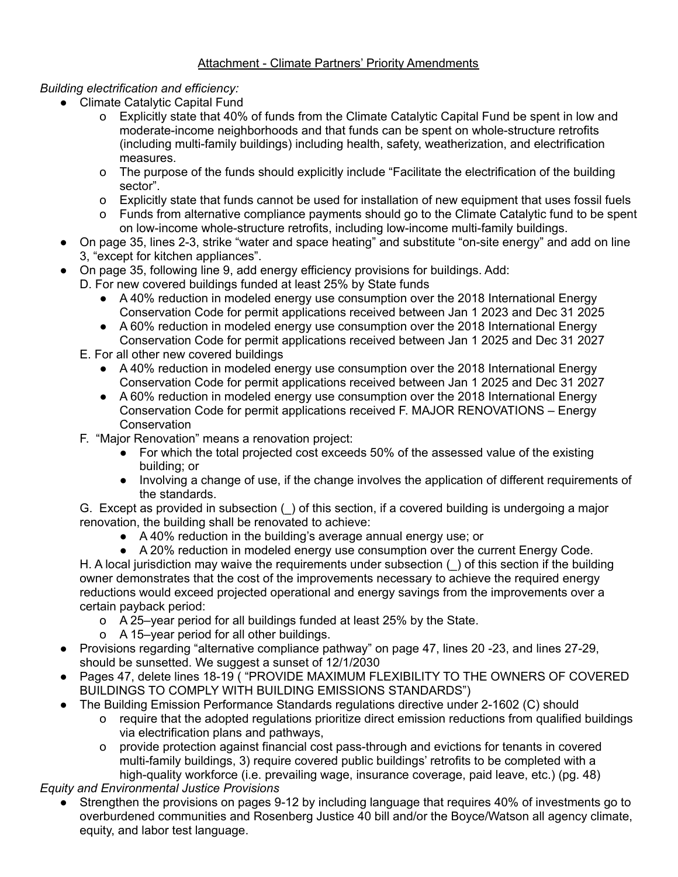## Attachment - Climate Partners' Priority Amendments

### *Building electrification and efficiency:*

- Climate Catalytic Capital Fund
	- o Explicitly state that 40% of funds from the Climate Catalytic Capital Fund be spent in low and moderate-income neighborhoods and that funds can be spent on whole-structure retrofits (including multi-family buildings) including health, safety, weatherization, and electrification measures.
	- o The purpose of the funds should explicitly include "Facilitate the electrification of the building sector".
	- o Explicitly state that funds cannot be used for installation of new equipment that uses fossil fuels
	- o Funds from alternative compliance payments should go to the Climate Catalytic fund to be spent on low-income whole-structure retrofits, including low-income multi-family buildings.
- On page 35, lines 2-3, strike "water and space heating" and substitute "on-site energy" and add on line 3, "except for kitchen appliances".
- On page 35, following line 9, add energy efficiency provisions for buildings. Add:
- D. For new covered buildings funded at least 25% by State funds
	- A 40% reduction in modeled energy use consumption over the 2018 International Energy Conservation Code for permit applications received between Jan 1 2023 and Dec 31 2025
	- A 60% reduction in modeled energy use consumption over the 2018 International Energy Conservation Code for permit applications received between Jan 1 2025 and Dec 31 2027
	- E. For all other new covered buildings
		- A 40% reduction in modeled energy use consumption over the 2018 International Energy Conservation Code for permit applications received between Jan 1 2025 and Dec 31 2027
		- A 60% reduction in modeled energy use consumption over the 2018 International Energy Conservation Code for permit applications received F. MAJOR RENOVATIONS – Energy **Conservation**
	- F. "Major Renovation" means a renovation project:
		- For which the total projected cost exceeds 50% of the assessed value of the existing building; or
		- Involving a change of use, if the change involves the application of different requirements of the standards.
	- G. Except as provided in subsection (\_) of this section, if a covered building is undergoing a major renovation, the building shall be renovated to achieve:
		- A 40% reduction in the building's average annual energy use; or
		- A 20% reduction in modeled energy use consumption over the current Energy Code.

H. A local jurisdiction may waive the requirements under subsection () of this section if the building owner demonstrates that the cost of the improvements necessary to achieve the required energy reductions would exceed projected operational and energy savings from the improvements over a certain payback period:

- o A 25–year period for all buildings funded at least 25% by the State.
- o A 15–year period for all other buildings.
- Provisions regarding "alternative compliance pathway" on page 47, lines 20 -23, and lines 27-29, should be sunsetted. We suggest a sunset of 12/1/2030
- Pages 47, delete lines 18-19 ("PROVIDE MAXIMUM FLEXIBILITY TO THE OWNERS OF COVERED BUILDINGS TO COMPLY WITH BUILDING EMISSIONS STANDARDS")
- The Building Emission Performance Standards regulations directive under 2-1602 (C) should
	- o require that the adopted regulations prioritize direct emission reductions from qualified buildings via electrification plans and pathways,
	- o provide protection against financial cost pass-through and evictions for tenants in covered multi-family buildings, 3) require covered public buildings' retrofits to be completed with a high-quality workforce (i.e. prevailing wage, insurance coverage, paid leave, etc.) (pg. 48)

*Equity and Environmental Justice Provisions*

Strengthen the provisions on pages 9-12 by including language that requires 40% of investments go to overburdened communities and Rosenberg Justice 40 bill and/or the Boyce/Watson all agency climate, equity, and labor test language.